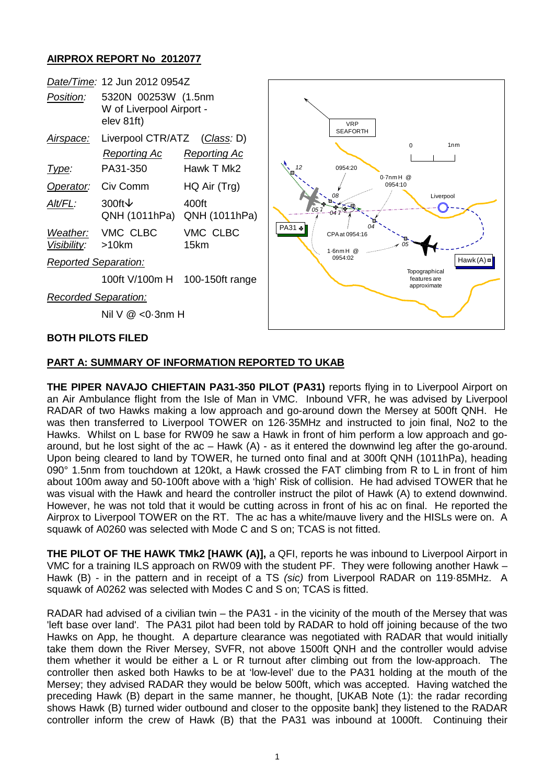## **AIRPROX REPORT No 2012077**



## **PART A: SUMMARY OF INFORMATION REPORTED TO UKAB**

**THE PIPER NAVAJO CHIEFTAIN PA31-350 PILOT (PA31)** reports flying in to Liverpool Airport on an Air Ambulance flight from the Isle of Man in VMC. Inbound VFR, he was advised by Liverpool RADAR of two Hawks making a low approach and go-around down the Mersey at 500ft QNH. He was then transferred to Liverpool TOWER on 126·35MHz and instructed to join final, No2 to the Hawks. Whilst on L base for RW09 he saw a Hawk in front of him perform a low approach and goaround, but he lost sight of the ac – Hawk (A) - as it entered the downwind leg after the go-around. Upon being cleared to land by TOWER, he turned onto final and at 300ft QNH (1011hPa), heading 090° 1.5nm from touchdown at 120kt, a Hawk crossed the FAT climbing from R to L in front of him about 100m away and 50-100ft above with a 'high' Risk of collision. He had advised TOWER that he was visual with the Hawk and heard the controller instruct the pilot of Hawk (A) to extend downwind. However, he was not told that it would be cutting across in front of his ac on final. He reported the Airprox to Liverpool TOWER on the RT. The ac has a white/mauve livery and the HISLs were on. A squawk of A0260 was selected with Mode C and S on; TCAS is not fitted.

**THE PILOT OF THE HAWK TMk2 [HAWK (A)],** a QFI, reports he was inbound to Liverpool Airport in VMC for a training ILS approach on RW09 with the student PF. They were following another Hawk – Hawk (B) - in the pattern and in receipt of a TS *(sic)* from Liverpool RADAR on 119·85MHz. A squawk of A0262 was selected with Modes C and S on; TCAS is fitted.

RADAR had advised of a civilian twin – the PA31 - in the vicinity of the mouth of the Mersey that was 'left base over land'. The PA31 pilot had been told by RADAR to hold off joining because of the two Hawks on App, he thought. A departure clearance was negotiated with RADAR that would initially take them down the River Mersey, SVFR, not above 1500ft QNH and the controller would advise them whether it would be either a L or R turnout after climbing out from the low-approach. The controller then asked both Hawks to be at 'low-level' due to the PA31 holding at the mouth of the Mersey; they advised RADAR they would be below 500ft, which was accepted. Having watched the preceding Hawk (B) depart in the same manner, he thought, [UKAB Note (1): the radar recording shows Hawk (B) turned wider outbound and closer to the opposite bank] they listened to the RADAR controller inform the crew of Hawk (B) that the PA31 was inbound at 1000ft. Continuing their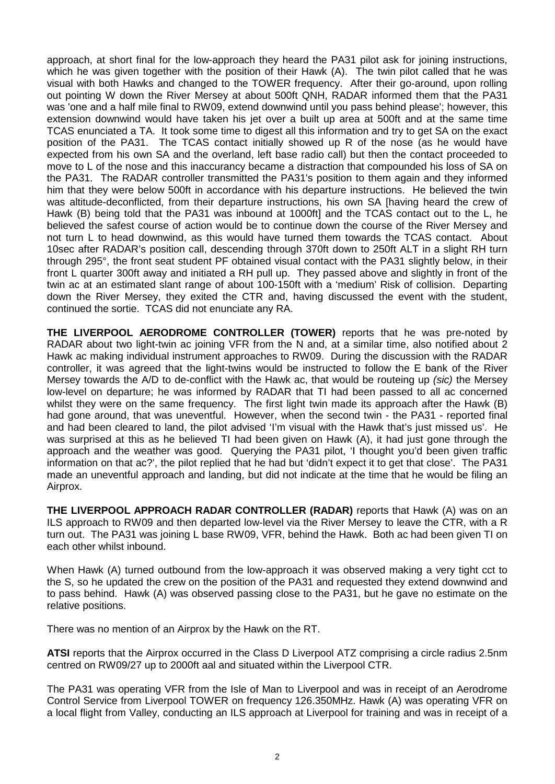approach, at short final for the low-approach they heard the PA31 pilot ask for joining instructions, which he was given together with the position of their Hawk (A). The twin pilot called that he was visual with both Hawks and changed to the TOWER frequency. After their go-around, upon rolling out pointing W down the River Mersey at about 500ft QNH, RADAR informed them that the PA31 was 'one and a half mile final to RW09, extend downwind until you pass behind please'; however, this extension downwind would have taken his jet over a built up area at 500ft and at the same time TCAS enunciated a TA. It took some time to digest all this information and try to get SA on the exact position of the PA31. The TCAS contact initially showed up R of the nose (as he would have expected from his own SA and the overland, left base radio call) but then the contact proceeded to move to L of the nose and this inaccurancy became a distraction that compounded his loss of SA on the PA31. The RADAR controller transmitted the PA31's position to them again and they informed him that they were below 500ft in accordance with his departure instructions. He believed the twin was altitude-deconflicted, from their departure instructions, his own SA [having heard the crew of Hawk (B) being told that the PA31 was inbound at 1000ft] and the TCAS contact out to the L, he believed the safest course of action would be to continue down the course of the River Mersey and not turn L to head downwind, as this would have turned them towards the TCAS contact. About 10sec after RADAR's position call, descending through 370ft down to 250ft ALT in a slight RH turn through 295°, the front seat student PF obtained visual contact with the PA31 slightly below, in their front L quarter 300ft away and initiated a RH pull up. They passed above and slightly in front of the twin ac at an estimated slant range of about 100-150ft with a 'medium' Risk of collision. Departing down the River Mersey, they exited the CTR and, having discussed the event with the student, continued the sortie. TCAS did not enunciate any RA.

**THE LIVERPOOL AERODROME CONTROLLER (TOWER)** reports that he was pre-noted by RADAR about two light-twin ac joining VFR from the N and, at a similar time, also notified about 2 Hawk ac making individual instrument approaches to RW09. During the discussion with the RADAR controller, it was agreed that the light-twins would be instructed to follow the E bank of the River Mersey towards the A/D to de-conflict with the Hawk ac, that would be routeing up *(sic)* the Mersey low-level on departure; he was informed by RADAR that TI had been passed to all ac concerned whilst they were on the same frequency. The first light twin made its approach after the Hawk (B) had gone around, that was uneventful. However, when the second twin - the PA31 - reported final and had been cleared to land, the pilot advised 'I'm visual with the Hawk that's just missed us'. He was surprised at this as he believed TI had been given on Hawk (A), it had just gone through the approach and the weather was good. Querying the PA31 pilot, 'I thought you'd been given traffic information on that ac?', the pilot replied that he had but 'didn't expect it to get that close'. The PA31 made an uneventful approach and landing, but did not indicate at the time that he would be filing an Airprox.

**THE LIVERPOOL APPROACH RADAR CONTROLLER (RADAR)** reports that Hawk (A) was on an ILS approach to RW09 and then departed low-level via the River Mersey to leave the CTR, with a R turn out. The PA31 was joining L base RW09, VFR, behind the Hawk. Both ac had been given TI on each other whilst inbound.

When Hawk (A) turned outbound from the low-approach it was observed making a very tight cct to the S, so he updated the crew on the position of the PA31 and requested they extend downwind and to pass behind. Hawk (A) was observed passing close to the PA31, but he gave no estimate on the relative positions.

There was no mention of an Airprox by the Hawk on the RT.

**ATSI** reports that the Airprox occurred in the Class D Liverpool ATZ comprising a circle radius 2.5nm centred on RW09/27 up to 2000ft aal and situated within the Liverpool CTR.

The PA31 was operating VFR from the Isle of Man to Liverpool and was in receipt of an Aerodrome Control Service from Liverpool TOWER on frequency 126.350MHz. Hawk (A) was operating VFR on a local flight from Valley, conducting an ILS approach at Liverpool for training and was in receipt of a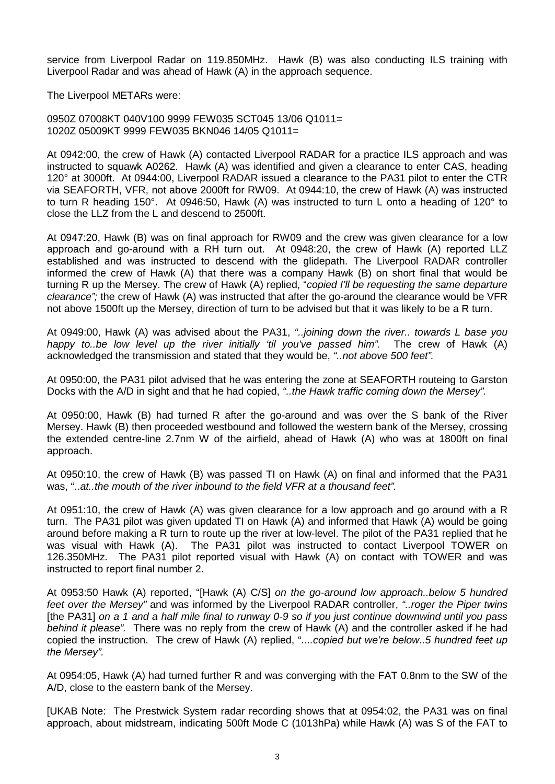service from Liverpool Radar on 119.850MHz. Hawk (B) was also conducting ILS training with Liverpool Radar and was ahead of Hawk (A) in the approach sequence.

The Liverpool METARs were:

0950Z 07008KT 040V100 9999 FEW035 SCT045 13/06 Q1011= 1020Z 05009KT 9999 FEW035 BKN046 14/05 Q1011=

At 0942:00, the crew of Hawk (A) contacted Liverpool RADAR for a practice ILS approach and was instructed to squawk A0262. Hawk (A) was identified and given a clearance to enter CAS, heading 120° at 3000ft. At 0944:00, Liverpool RADAR issued a clearance to the PA31 pilot to enter the CTR via SEAFORTH, VFR, not above 2000ft for RW09. At 0944:10, the crew of Hawk (A) was instructed to turn R heading 150°. At 0946:50, Hawk (A) was instructed to turn L onto a heading of 120° to close the LLZ from the L and descend to 2500ft.

At 0947:20, Hawk (B) was on final approach for RW09 and the crew was given clearance for a low approach and go-around with a RH turn out. At 0948:20, the crew of Hawk (A) reported LLZ established and was instructed to descend with the glidepath. The Liverpool RADAR controller informed the crew of Hawk (A) that there was a company Hawk (B) on short final that would be turning R up the Mersey. The crew of Hawk (A) replied, "*copied I'll be requesting the same departure clearance";* the crew of Hawk (A) was instructed that after the go-around the clearance would be VFR not above 1500ft up the Mersey, direction of turn to be advised but that it was likely to be a R turn.

At 0949:00, Hawk (A) was advised about the PA31, *"..joining down the river.. towards L base you happy to..be low level up the river initially 'til you've passed him".* The crew of Hawk (A) acknowledged the transmission and stated that they would be, *"..not above 500 feet".*

At 0950:00, the PA31 pilot advised that he was entering the zone at SEAFORTH routeing to Garston Docks with the A/D in sight and that he had copied, *"..the Hawk traffic coming down the Mersey".*

At 0950:00, Hawk (B) had turned R after the go-around and was over the S bank of the River Mersey. Hawk (B) then proceeded westbound and followed the western bank of the Mersey, crossing the extended centre-line 2.7nm W of the airfield, ahead of Hawk (A) who was at 1800ft on final approach.

At 0950:10, the crew of Hawk (B) was passed TI on Hawk (A) on final and informed that the PA31 was, "..*at..the mouth of the river inbound to the field VFR at a thousand feet".*

At 0951:10, the crew of Hawk (A) was given clearance for a low approach and go around with a R turn. The PA31 pilot was given updated TI on Hawk (A) and informed that Hawk (A) would be going around before making a R turn to route up the river at low-level. The pilot of the PA31 replied that he was visual with Hawk (A). The PA31 pilot was instructed to contact Liverpool TOWER on 126.350MHz. The PA31 pilot reported visual with Hawk (A) on contact with TOWER and was instructed to report final number 2.

At 0953:50 Hawk (A) reported, "[Hawk (A) C/S] *on the go-around low approach..below 5 hundred feet over the Mersey"* and was informed by the Liverpool RADAR controller, *"..roger the Piper twins*  [the PA31] *on a 1 and a half mile final to runway 0-9 so if you just continue downwind until you pass behind it please".* There was no reply from the crew of Hawk (A) and the controller asked if he had copied the instruction. The crew of Hawk (A) replied, "*....copied but we're below..5 hundred feet up the Mersey".*

At 0954:05, Hawk (A) had turned further R and was converging with the FAT 0.8nm to the SW of the A/D, close to the eastern bank of the Mersey.

[UKAB Note: The Prestwick System radar recording shows that at 0954:02, the PA31 was on final approach, about midstream, indicating 500ft Mode C (1013hPa) while Hawk (A) was S of the FAT to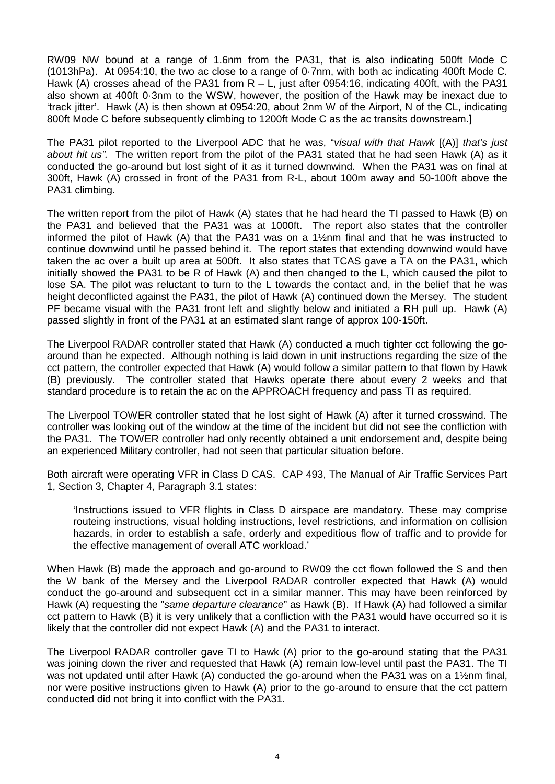RW09 NW bound at a range of 1.6nm from the PA31, that is also indicating 500ft Mode C (1013hPa). At 0954:10, the two ac close to a range of 0·7nm, with both ac indicating 400ft Mode C. Hawk (A) crosses ahead of the PA31 from  $R - L$ , just after 0954:16, indicating 400ft, with the PA31 also shown at 400ft 0·3nm to the WSW, however, the position of the Hawk may be inexact due to 'track jitter'. Hawk (A) is then shown at 0954:20, about 2nm W of the Airport, N of the CL, indicating 800ft Mode C before subsequently climbing to 1200ft Mode C as the ac transits downstream.]

The PA31 pilot reported to the Liverpool ADC that he was, "*visual with that Hawk* [(A)] *that's just about hit us".* The written report from the pilot of the PA31 stated that he had seen Hawk (A) as it conducted the go-around but lost sight of it as it turned downwind. When the PA31 was on final at 300ft, Hawk (A) crossed in front of the PA31 from R-L, about 100m away and 50-100ft above the PA31 climbing.

The written report from the pilot of Hawk (A) states that he had heard the TI passed to Hawk (B) on the PA31 and believed that the PA31 was at 1000ft. The report also states that the controller informed the pilot of Hawk (A) that the PA31 was on a 1½nm final and that he was instructed to continue downwind until he passed behind it. The report states that extending downwind would have taken the ac over a built up area at 500ft. It also states that TCAS gave a TA on the PA31, which initially showed the PA31 to be R of Hawk (A) and then changed to the L, which caused the pilot to lose SA. The pilot was reluctant to turn to the L towards the contact and, in the belief that he was height deconflicted against the PA31, the pilot of Hawk (A) continued down the Mersey. The student PF became visual with the PA31 front left and slightly below and initiated a RH pull up. Hawk (A) passed slightly in front of the PA31 at an estimated slant range of approx 100-150ft.

The Liverpool RADAR controller stated that Hawk (A) conducted a much tighter cct following the goaround than he expected. Although nothing is laid down in unit instructions regarding the size of the cct pattern, the controller expected that Hawk (A) would follow a similar pattern to that flown by Hawk (B) previously. The controller stated that Hawks operate there about every 2 weeks and that standard procedure is to retain the ac on the APPROACH frequency and pass TI as required.

The Liverpool TOWER controller stated that he lost sight of Hawk (A) after it turned crosswind. The controller was looking out of the window at the time of the incident but did not see the confliction with the PA31. The TOWER controller had only recently obtained a unit endorsement and, despite being an experienced Military controller, had not seen that particular situation before.

Both aircraft were operating VFR in Class D CAS. CAP 493, The Manual of Air Traffic Services Part 1, Section 3, Chapter 4, Paragraph 3.1 states:

'Instructions issued to VFR flights in Class D airspace are mandatory. These may comprise routeing instructions, visual holding instructions, level restrictions, and information on collision hazards, in order to establish a safe, orderly and expeditious flow of traffic and to provide for the effective management of overall ATC workload.'

When Hawk (B) made the approach and go-around to RW09 the cct flown followed the S and then the W bank of the Mersey and the Liverpool RADAR controller expected that Hawk (A) would conduct the go-around and subsequent cct in a similar manner. This may have been reinforced by Hawk (A) requesting the "*same departure clearance*" as Hawk (B). If Hawk (A) had followed a similar cct pattern to Hawk (B) it is very unlikely that a confliction with the PA31 would have occurred so it is likely that the controller did not expect Hawk (A) and the PA31 to interact.

The Liverpool RADAR controller gave TI to Hawk (A) prior to the go-around stating that the PA31 was joining down the river and requested that Hawk (A) remain low-level until past the PA31. The TI was not updated until after Hawk (A) conducted the go-around when the PA31 was on a 1½nm final, nor were positive instructions given to Hawk (A) prior to the go-around to ensure that the cct pattern conducted did not bring it into conflict with the PA31.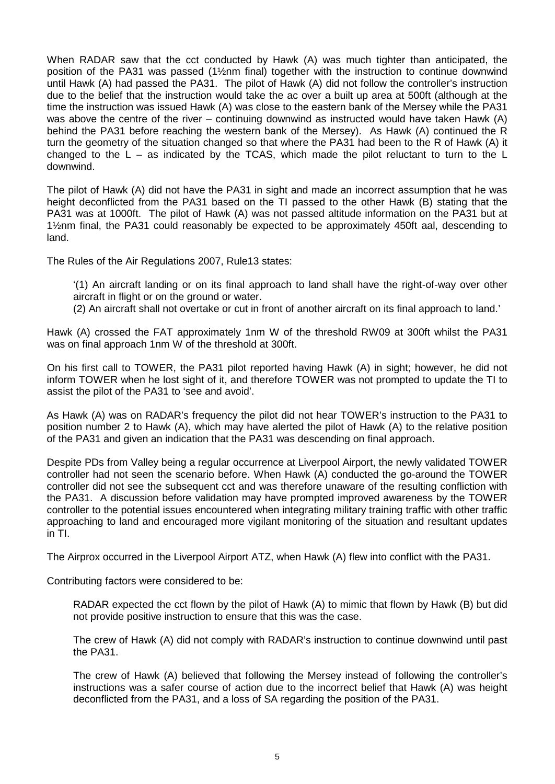When RADAR saw that the cct conducted by Hawk (A) was much tighter than anticipated, the position of the PA31 was passed (1½nm final) together with the instruction to continue downwind until Hawk (A) had passed the PA31. The pilot of Hawk (A) did not follow the controller's instruction due to the belief that the instruction would take the ac over a built up area at 500ft (although at the time the instruction was issued Hawk (A) was close to the eastern bank of the Mersey while the PA31 was above the centre of the river – continuing downwind as instructed would have taken Hawk (A) behind the PA31 before reaching the western bank of the Mersey). As Hawk (A) continued the R turn the geometry of the situation changed so that where the PA31 had been to the R of Hawk (A) it changed to the  $L -$  as indicated by the TCAS, which made the pilot reluctant to turn to the  $L$ downwind.

The pilot of Hawk (A) did not have the PA31 in sight and made an incorrect assumption that he was height deconflicted from the PA31 based on the TI passed to the other Hawk (B) stating that the PA31 was at 1000ft. The pilot of Hawk (A) was not passed altitude information on the PA31 but at 1½nm final, the PA31 could reasonably be expected to be approximately 450ft aal, descending to land.

The Rules of the Air Regulations 2007, Rule13 states:

'(1) An aircraft landing or on its final approach to land shall have the right-of-way over other aircraft in flight or on the ground or water.

(2) An aircraft shall not overtake or cut in front of another aircraft on its final approach to land.'

Hawk (A) crossed the FAT approximately 1nm W of the threshold RW09 at 300ft whilst the PA31 was on final approach 1nm W of the threshold at 300ft.

On his first call to TOWER, the PA31 pilot reported having Hawk (A) in sight; however, he did not inform TOWER when he lost sight of it, and therefore TOWER was not prompted to update the TI to assist the pilot of the PA31 to 'see and avoid'.

As Hawk (A) was on RADAR's frequency the pilot did not hear TOWER's instruction to the PA31 to position number 2 to Hawk (A), which may have alerted the pilot of Hawk (A) to the relative position of the PA31 and given an indication that the PA31 was descending on final approach.

Despite PDs from Valley being a regular occurrence at Liverpool Airport, the newly validated TOWER controller had not seen the scenario before. When Hawk (A) conducted the go-around the TOWER controller did not see the subsequent cct and was therefore unaware of the resulting confliction with the PA31. A discussion before validation may have prompted improved awareness by the TOWER controller to the potential issues encountered when integrating military training traffic with other traffic approaching to land and encouraged more vigilant monitoring of the situation and resultant updates in TI.

The Airprox occurred in the Liverpool Airport ATZ, when Hawk (A) flew into conflict with the PA31.

Contributing factors were considered to be:

RADAR expected the cct flown by the pilot of Hawk (A) to mimic that flown by Hawk (B) but did not provide positive instruction to ensure that this was the case.

The crew of Hawk (A) did not comply with RADAR's instruction to continue downwind until past the PA31.

The crew of Hawk (A) believed that following the Mersey instead of following the controller's instructions was a safer course of action due to the incorrect belief that Hawk (A) was height deconflicted from the PA31, and a loss of SA regarding the position of the PA31.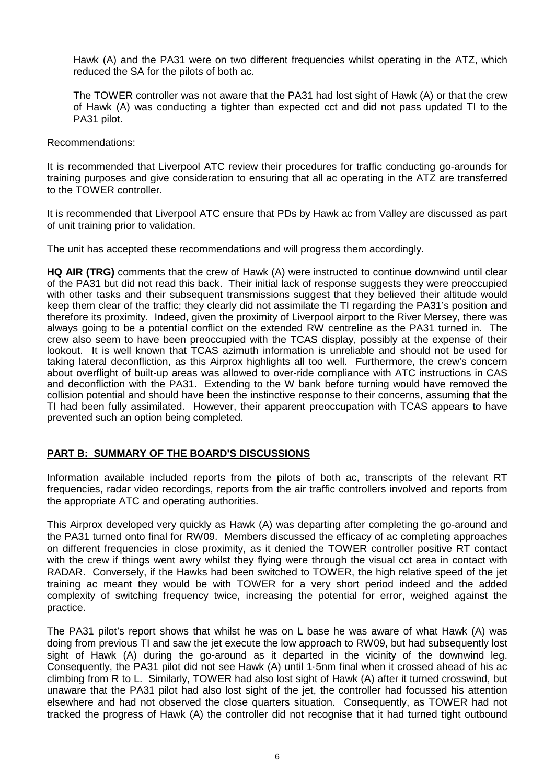Hawk (A) and the PA31 were on two different frequencies whilst operating in the ATZ, which reduced the SA for the pilots of both ac.

The TOWER controller was not aware that the PA31 had lost sight of Hawk (A) or that the crew of Hawk (A) was conducting a tighter than expected cct and did not pass updated TI to the PA31 pilot.

Recommendations:

It is recommended that Liverpool ATC review their procedures for traffic conducting go-arounds for training purposes and give consideration to ensuring that all ac operating in the ATZ are transferred to the TOWER controller.

It is recommended that Liverpool ATC ensure that PDs by Hawk ac from Valley are discussed as part of unit training prior to validation.

The unit has accepted these recommendations and will progress them accordingly.

**HQ AIR (TRG)** comments that the crew of Hawk (A) were instructed to continue downwind until clear of the PA31 but did not read this back. Their initial lack of response suggests they were preoccupied with other tasks and their subsequent transmissions suggest that they believed their altitude would keep them clear of the traffic; they clearly did not assimilate the TI regarding the PA31's position and therefore its proximity. Indeed, given the proximity of Liverpool airport to the River Mersey, there was always going to be a potential conflict on the extended RW centreline as the PA31 turned in. The crew also seem to have been preoccupied with the TCAS display, possibly at the expense of their lookout. It is well known that TCAS azimuth information is unreliable and should not be used for taking lateral deconfliction, as this Airprox highlights all too well. Furthermore, the crew's concern about overflight of built-up areas was allowed to over-ride compliance with ATC instructions in CAS and deconfliction with the PA31. Extending to the W bank before turning would have removed the collision potential and should have been the instinctive response to their concerns, assuming that the TI had been fully assimilated. However, their apparent preoccupation with TCAS appears to have prevented such an option being completed.

## **PART B: SUMMARY OF THE BOARD'S DISCUSSIONS**

Information available included reports from the pilots of both ac, transcripts of the relevant RT frequencies, radar video recordings, reports from the air traffic controllers involved and reports from the appropriate ATC and operating authorities.

This Airprox developed very quickly as Hawk (A) was departing after completing the go-around and the PA31 turned onto final for RW09. Members discussed the efficacy of ac completing approaches on different frequencies in close proximity, as it denied the TOWER controller positive RT contact with the crew if things went awry whilst they flying were through the visual cct area in contact with RADAR. Conversely, if the Hawks had been switched to TOWER, the high relative speed of the jet training ac meant they would be with TOWER for a very short period indeed and the added complexity of switching frequency twice, increasing the potential for error, weighed against the practice.

The PA31 pilot's report shows that whilst he was on L base he was aware of what Hawk (A) was doing from previous TI and saw the jet execute the low approach to RW09, but had subsequently lost sight of Hawk (A) during the go-around as it departed in the vicinity of the downwind leg. Consequently, the PA31 pilot did not see Hawk (A) until 1·5nm final when it crossed ahead of his ac climbing from R to L. Similarly, TOWER had also lost sight of Hawk (A) after it turned crosswind, but unaware that the PA31 pilot had also lost sight of the jet, the controller had focussed his attention elsewhere and had not observed the close quarters situation. Consequently, as TOWER had not tracked the progress of Hawk (A) the controller did not recognise that it had turned tight outbound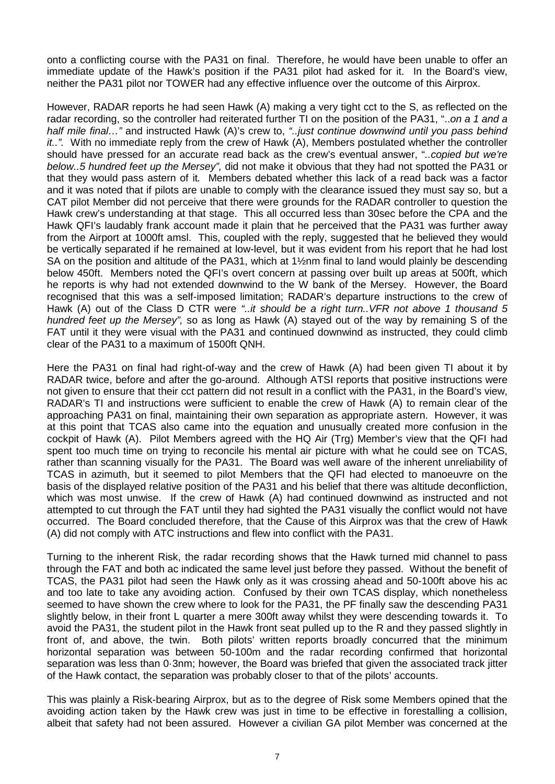onto a conflicting course with the PA31 on final. Therefore, he would have been unable to offer an immediate update of the Hawk's position if the PA31 pilot had asked for it. In the Board's view, neither the PA31 pilot nor TOWER had any effective influence over the outcome of this Airprox.

However, RADAR reports he had seen Hawk (A) making a very tight cct to the S, as reflected on the radar recording, so the controller had reiterated further TI on the position of the PA31, "..*on a 1 and a half mile final…"* and instructed Hawk (A)'s crew to, *"..just continue downwind until you pass behind it..".* With no immediate reply from the crew of Hawk (A), Members postulated whether the controller should have pressed for an accurate read back as the crew's eventual answer, "*..copied but we're below..5 hundred feet up the Mersey",* did not make it obvious that they had not spotted the PA31 or that they would pass astern of it*.* Members debated whether this lack of a read back was a factor and it was noted that if pilots are unable to comply with the clearance issued they must say so, but a CAT pilot Member did not perceive that there were grounds for the RADAR controller to question the Hawk crew's understanding at that stage. This all occurred less than 30sec before the CPA and the Hawk QFI's laudably frank account made it plain that he perceived that the PA31 was further away from the Airport at 1000ft amsl. This, coupled with the reply, suggested that he believed they would be vertically separated if he remained at low-level, but it was evident from his report that he had lost SA on the position and altitude of the PA31, which at 1½nm final to land would plainly be descending below 450ft. Members noted the QFI's overt concern at passing over built up areas at 500ft, which he reports is why had not extended downwind to the W bank of the Mersey. However, the Board recognised that this was a self-imposed limitation; RADAR's departure instructions to the crew of Hawk (A) out of the Class D CTR were *"..it should be a right turn..VFR not above 1 thousand 5 hundred feet up the Mersey",* so as long as Hawk (A) stayed out of the way by remaining S of the FAT until it they were visual with the PA31 and continued downwind as instructed, they could climb clear of the PA31 to a maximum of 1500ft QNH.

Here the PA31 on final had right-of-way and the crew of Hawk (A) had been given TI about it by RADAR twice, before and after the go-around. Although ATSI reports that positive instructions were not given to ensure that their cct pattern did not result in a conflict with the PA31, in the Board's view, RADAR's TI and instructions were sufficient to enable the crew of Hawk (A) to remain clear of the approaching PA31 on final, maintaining their own separation as appropriate astern. However, it was at this point that TCAS also came into the equation and unusually created more confusion in the cockpit of Hawk (A). Pilot Members agreed with the HQ Air (Trg) Member's view that the QFI had spent too much time on trying to reconcile his mental air picture with what he could see on TCAS, rather than scanning visually for the PA31. The Board was well aware of the inherent unreliability of TCAS in azimuth, but it seemed to pilot Members that the QFI had elected to manoeuvre on the basis of the displayed relative position of the PA31 and his belief that there was altitude deconfliction, which was most unwise. If the crew of Hawk (A) had continued downwind as instructed and not attempted to cut through the FAT until they had sighted the PA31 visually the conflict would not have occurred. The Board concluded therefore, that the Cause of this Airprox was that the crew of Hawk (A) did not comply with ATC instructions and flew into conflict with the PA31.

Turning to the inherent Risk, the radar recording shows that the Hawk turned mid channel to pass through the FAT and both ac indicated the same level just before they passed. Without the benefit of TCAS, the PA31 pilot had seen the Hawk only as it was crossing ahead and 50-100ft above his ac and too late to take any avoiding action. Confused by their own TCAS display, which nonetheless seemed to have shown the crew where to look for the PA31, the PF finally saw the descending PA31 slightly below, in their front L quarter a mere 300ft away whilst they were descending towards it. To avoid the PA31, the student pilot in the Hawk front seat pulled up to the R and they passed slightly in front of, and above, the twin. Both pilots' written reports broadly concurred that the minimum horizontal separation was between 50-100m and the radar recording confirmed that horizontal separation was less than 0·3nm; however, the Board was briefed that given the associated track jitter of the Hawk contact, the separation was probably closer to that of the pilots' accounts.

This was plainly a Risk-bearing Airprox, but as to the degree of Risk some Members opined that the avoiding action taken by the Hawk crew was just in time to be effective in forestalling a collision, albeit that safety had not been assured. However a civilian GA pilot Member was concerned at the